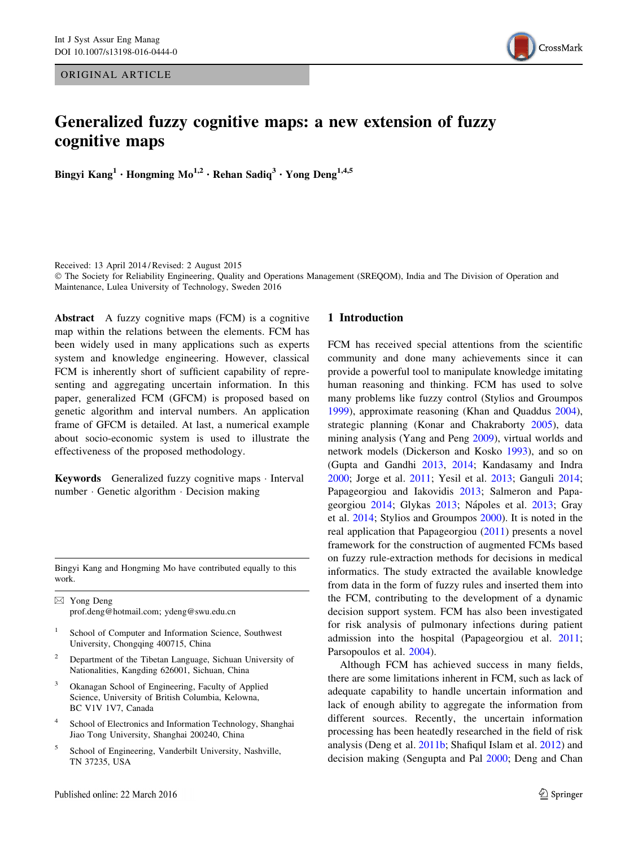ORIGINAL ARTICLE



# Generalized fuzzy cognitive maps: a new extension of fuzzy cognitive maps

Bingyi Kang<sup>1</sup> • Hongming Mo<sup>1,2</sup> • Rehan Sadiq<sup>3</sup> • Yong Deng<sup>1,4,5</sup>

Received: 13 April 2014 / Revised: 2 August 2015

© The Society for Reliability Engineering, Quality and Operations Management (SREQOM), India and The Division of Operation and Maintenance, Lulea University of Technology, Sweden 2016

Abstract A fuzzy cognitive maps (FCM) is a cognitive map within the relations between the elements. FCM has been widely used in many applications such as experts system and knowledge engineering. However, classical FCM is inherently short of sufficient capability of representing and aggregating uncertain information. In this paper, generalized FCM (GFCM) is proposed based on genetic algorithm and interval numbers. An application frame of GFCM is detailed. At last, a numerical example about socio-economic system is used to illustrate the effectiveness of the proposed methodology.

Keywords Generalized fuzzy cognitive maps · Interval number - Genetic algorithm - Decision making

Bingyi Kang and Hongming Mo have contributed equally to this work.

 $\boxtimes$  Yong Deng prof.deng@hotmail.com; ydeng@swu.edu.cn

- School of Computer and Information Science, Southwest University, Chongqing 400715, China
- <sup>2</sup> Department of the Tibetan Language, Sichuan University of Nationalities, Kangding 626001, Sichuan, China
- Okanagan School of Engineering, Faculty of Applied Science, University of British Columbia, Kelowna, BC V1V 1V7, Canada
- School of Electronics and Information Technology, Shanghai Jiao Tong University, Shanghai 200240, China
- <sup>5</sup> School of Engineering, Vanderbilt University, Nashville, TN 37235, USA

#### 1 Introduction

FCM has received special attentions from the scientific community and done many achievements since it can provide a powerful tool to manipulate knowledge imitating human reasoning and thinking. FCM has used to solve many problems like fuzzy control (Stylios and Groumpos [1999](#page-10-0)), approximate reasoning (Khan and Quaddus [2004](#page-9-0)), strategic planning (Konar and Chakraborty [2005](#page-10-0)), data mining analysis (Yang and Peng [2009](#page-10-0)), virtual worlds and network models (Dickerson and Kosko [1993\)](#page-9-0), and so on (Gupta and Gandhi [2013](#page-9-0), [2014](#page-9-0); Kandasamy and Indra [2000](#page-9-0); Jorge et al. [2011;](#page-10-0) Yesil et al. [2013;](#page-10-0) Ganguli [2014](#page-9-0); Papageorgiou and Iakovidis [2013](#page-10-0); Salmeron and Papa-georgiou [2014](#page-10-0); Glykas [2013;](#page-10-0) Nápoles et al. 2013; Gray et al. [2014](#page-9-0); Stylios and Groumpos [2000](#page-10-0)). It is noted in the real application that Papageorgiou ([2011\)](#page-10-0) presents a novel framework for the construction of augmented FCMs based on fuzzy rule-extraction methods for decisions in medical informatics. The study extracted the available knowledge from data in the form of fuzzy rules and inserted them into the FCM, contributing to the development of a dynamic decision support system. FCM has also been investigated for risk analysis of pulmonary infections during patient admission into the hospital (Papageorgiou et al. [2011](#page-10-0); Parsopoulos et al. [2004\)](#page-10-0).

Although FCM has achieved success in many fields, there are some limitations inherent in FCM, such as lack of adequate capability to handle uncertain information and lack of enough ability to aggregate the information from different sources. Recently, the uncertain information processing has been heatedly researched in the field of risk analysis (Deng et al. [2011b;](#page-9-0) Shafiqul Islam et al. [2012](#page-10-0)) and decision making (Sengupta and Pal [2000](#page-10-0); Deng and Chan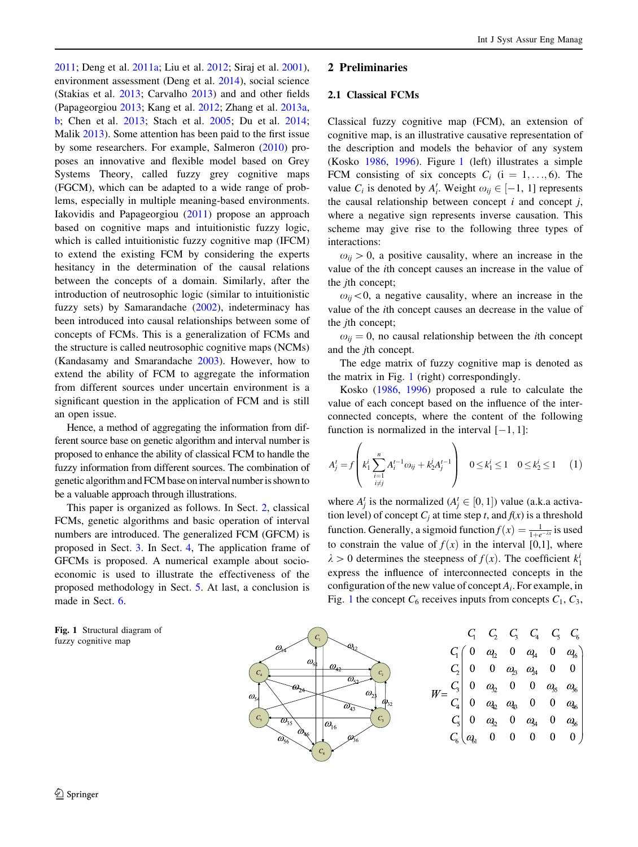[2011;](#page-9-0) Deng et al. [2011a](#page-9-0); Liu et al. [2012](#page-10-0); Siraj et al. [2001](#page-10-0)), environment assessment (Deng et al. [2014](#page-9-0)), social science (Stakias et al. [2013](#page-10-0); Carvalho [2013\)](#page-9-0) and and other fields (Papageorgiou [2013](#page-10-0); Kang et al. [2012](#page-9-0); Zhang et al. [2013a,](#page-10-0) [b](#page-10-0); Chen et al. [2013](#page-9-0); Stach et al. [2005;](#page-10-0) Du et al. [2014](#page-9-0); Malik [2013](#page-10-0)). Some attention has been paid to the first issue by some researchers. For example, Salmeron [\(2010](#page-10-0)) proposes an innovative and flexible model based on Grey Systems Theory, called fuzzy grey cognitive maps (FGCM), which can be adapted to a wide range of problems, especially in multiple meaning-based environments. Iakovidis and Papageorgiou ([2011\)](#page-9-0) propose an approach based on cognitive maps and intuitionistic fuzzy logic, which is called intuitionistic fuzzy cognitive map (IFCM) to extend the existing FCM by considering the experts hesitancy in the determination of the causal relations between the concepts of a domain. Similarly, after the introduction of neutrosophic logic (similar to intuitionistic fuzzy sets) by Samarandache ([2002\)](#page-10-0), indeterminacy has been introduced into causal relationships between some of concepts of FCMs. This is a generalization of FCMs and the structure is called neutrosophic cognitive maps (NCMs) (Kandasamy and Smarandache [2003\)](#page-9-0). However, how to extend the ability of FCM to aggregate the information from different sources under uncertain environment is a significant question in the application of FCM and is still an open issue.

Hence, a method of aggregating the information from different source base on genetic algorithm and interval number is proposed to enhance the ability of classical FCM to handle the fuzzy information from different sources. The combination of genetic algorithm and FCM base on interval number is shown to be a valuable approach through illustrations.

This paper is organized as follows. In Sect. 2, classical FCMs, genetic algorithms and basic operation of interval numbers are introduced. The generalized FCM (GFCM) is proposed in Sect. [3.](#page-2-0) In Sect. [4,](#page-5-0) The application frame of GFCMs is proposed. A numerical example about socioeconomic is used to illustrate the effectiveness of the proposed methodology in Sect. [5](#page-7-0). At last, a conclusion is made in Sect. [6](#page-9-0).

Fig. 1 Structural diagram of fuzzy cognitive map

# 2 Preliminaries

## 2.1 Classical FCMs

Classical fuzzy cognitive map (FCM), an extension of cognitive map, is an illustrative causative representation of the description and models the behavior of any system (Kosko [1986,](#page-10-0) [1996](#page-10-0)). Figure 1 (left) illustrates a simple FCM consisting of six concepts  $C_i$  (i = 1, ..., 6). The value  $C_i$  is denoted by  $A'_i$ . Weight  $\omega_{ij} \in [-1, 1]$  represents the causal relationship between concept  $i$  and concept  $j$ , where a negative sign represents inverse causation. This scheme may give rise to the following three types of interactions:

 $\omega_{ii} > 0$ , a positive causality, where an increase in the value of the ith concept causes an increase in the value of the *j*th concept;

 $\omega_{ij}$  < 0, a negative causality, where an increase in the value of the ith concept causes an decrease in the value of the *j*th concept;

 $\omega_{ij} = 0$ , no causal relationship between the *i*th concept and the jth concept.

The edge matrix of fuzzy cognitive map is denoted as the matrix in Fig. 1 (right) correspondingly.

Kosko ([1986,](#page-10-0) [1996](#page-10-0)) proposed a rule to calculate the value of each concept based on the influence of the interconnected concepts, where the content of the following function is normalized in the interval  $[-1, 1]$ :

$$
A'_{j} = f\left(k_{1}^{i} \sum_{\substack{i=1 \ i \neq j}}^{n} A'_{i}^{i-1} \omega_{ij} + k_{2}^{j} A'_{j}^{i-1}\right) \quad 0 \leq k_{1}^{i} \leq 1 \quad 0 \leq k_{2}^{i} \leq 1 \quad (1)
$$

where  $A_j^t$  is the normalized  $(A_j^t \in [0, 1])$  value (a.k.a activation level) of concept  $C_j$  at time step t, and  $f(x)$  is a threshold function. Generally, a sigmoid function  $f(x) = \frac{1}{1 + e^{-\lambda x}}$  is used to constrain the value of  $f(x)$  in the interval [0,1], where  $\lambda > 0$  determines the steepness of  $f(x)$ . The coefficient  $k_1^i$ express the influence of interconnected concepts in the configuration of the new value of concept  $A_i$ . For example, in Fig. 1 the concept  $C_6$  receives inputs from concepts  $C_1$ ,  $C_3$ ,

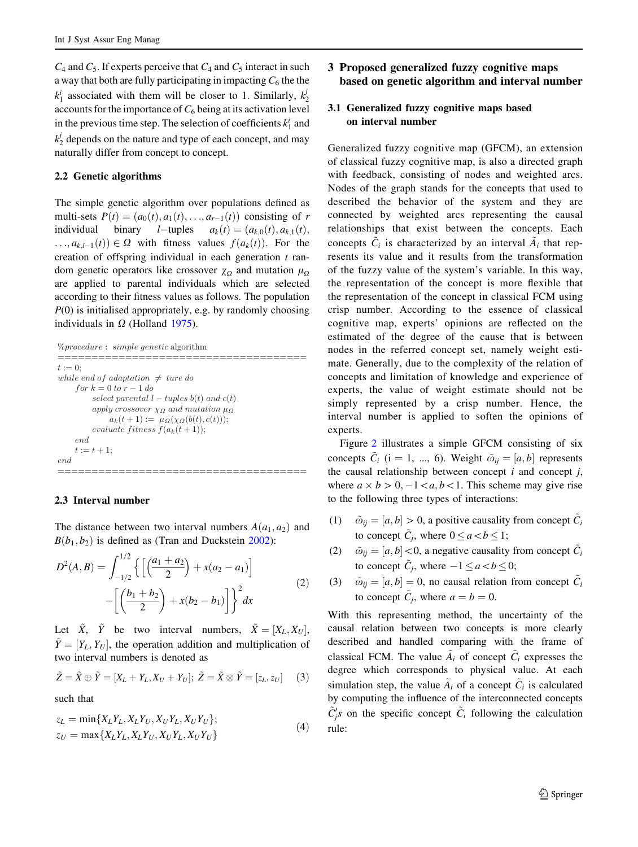<span id="page-2-0"></span> $C_4$  and  $C_5$ . If experts perceive that  $C_4$  and  $C_5$  interact in such a way that both are fully participating in impacting  $C_6$  the the  $k_1^i$  associated with them will be closer to 1. Similarly,  $k_2^j$ accounts for the importance of  $C_6$  being at its activation level in the previous time step. The selection of coefficients  $k_1^i$  and  $k_2^j$  depends on the nature and type of each concept, and may naturally differ from concept to concept.

## 2.2 Genetic algorithms

The simple genetic algorithm over populations defined as multi-sets  $P(t) = (a_0(t), a_1(t), \ldots, a_{r-1}(t))$  consisting of r individual binary *l*-tuples  $a_k(t) = (a_{k,0}(t), a_{k,1}(t))$ ;  $\dots, a_{k,l-1}(t) \in \Omega$  with fitness values  $f(a_k(t))$ . For the creation of offspring individual in each generation  $t$  random genetic operators like crossover  $\chi_0$  and mutation  $\mu_0$ are applied to parental individuals which are selected according to their fitness values as follows. The population  $P(0)$  is initialised appropriately, e.g. by randomly choosing individuals in  $\Omega$  (Holland [1975](#page-9-0)).

```
%procedure : simple genetic algorithm
```

```
t:=0t := 0;
while end of adaptation \neq ture do
   for k = 0 to r - 1 do
      select parental l - tuples b(t) and c(t)apply crossover χΩ and mutation μΩ
         a_k(t+1) := \mu_{\Omega}(\chi_{\Omega}(b(t), c(t)));
      evaluate fitness f(a_k(t+1));
   end
   t := t + 1;end
```
## 2.3 Interval number

The distance between two interval numbers  $A(a_1, a_2)$  and  $B(b_1, b_2)$  is defined as (Tran and Duckstein [2002](#page-10-0)):

$$
D^{2}(A, B) = \int_{-1/2}^{1/2} \left\{ \left[ \left( \frac{a_{1} + a_{2}}{2} \right) + x(a_{2} - a_{1}) \right] - \left[ \left( \frac{b_{1} + b_{2}}{2} \right) + x(b_{2} - b_{1}) \right] \right\}^{2} dx
$$
 (2)

Let  $\tilde{X}$ ,  $\tilde{Y}$  be two interval numbers,  $\tilde{X} = [X_L, X_U],$  $\tilde{Y} = [Y_L, Y_U]$ , the operation addition and multiplication of two interval numbers is denoted as

$$
\tilde{Z} = \tilde{X} \oplus \tilde{Y} = [X_L + Y_L, X_U + Y_U]; \ \tilde{Z} = \tilde{X} \otimes \tilde{Y} = [z_L, z_U] \tag{3}
$$

such that

$$
z_L = \min\{X_L Y_L, X_L Y_U, X_U Y_L, X_U Y_U\};
$$
  
\n
$$
z_U = \max\{X_L Y_L, X_L Y_U, X_U Y_L, X_U Y_U\}
$$
\n(4)

# 3 Proposed generalized fuzzy cognitive maps based on genetic algorithm and interval number

## 3.1 Generalized fuzzy cognitive maps based on interval number

Generalized fuzzy cognitive map (GFCM), an extension of classical fuzzy cognitive map, is also a directed graph with feedback, consisting of nodes and weighted arcs. Nodes of the graph stands for the concepts that used to described the behavior of the system and they are connected by weighted arcs representing the causal relationships that exist between the concepts. Each concepts  $\tilde{C}_i$  is characterized by an interval  $\tilde{A}_i$  that represents its value and it results from the transformation of the fuzzy value of the system's variable. In this way, the representation of the concept is more flexible that the representation of the concept in classical FCM using crisp number. According to the essence of classical cognitive map, experts' opinions are reflected on the estimated of the degree of the cause that is between nodes in the referred concept set, namely weight estimate. Generally, due to the complexity of the relation of concepts and limitation of knowledge and experience of experts, the value of weight estimate should not be simply represented by a crisp number. Hence, the interval number is applied to soften the opinions of experts.

Figure [2](#page-3-0) illustrates a simple GFCM consisting of six concepts  $C_i$  (i = 1, ..., 6). Weight  $\tilde{\omega}_{ij} = [a, b]$  represents the causal relationship between concept  $i$  and concept  $j$ , where  $a \times b > 0, -1 < a, b < 1$ . This scheme may give rise to the following three types of interactions:

- (1)  $\tilde{\omega}_{ii} = [a, b] > 0$ , a positive causality from concept  $\tilde{C}_i$ to concept  $\tilde{C}_i$ , where  $0 \le a < b \le 1$ ;
- (2)  $\tilde{\omega}_{ij} = [a, b] < 0$ , a negative causality from concept  $\tilde{C}_i$ to concept  $\tilde{C}_j$ , where  $-1 \le a < b \le 0$ ;
- (3)  $\tilde{\omega}_{ij} = [a, b] = 0$ , no causal relation from concept  $\tilde{C}_i$ to concept  $\tilde{C}_i$ , where  $a = b = 0$ .

With this representing method, the uncertainty of the causal relation between two concepts is more clearly described and handled comparing with the frame of classical FCM. The value  $A_i$  of concept  $C_i$  expresses the degree which corresponds to physical value. At each simulation step, the value  $A_i$  of a concept  $C_i$  is calculated by computing the influence of the interconnected concepts  $\tilde{C}_{j}^{'}s$  on the specific concept  $\tilde{C}_{i}$  following the calculation rule: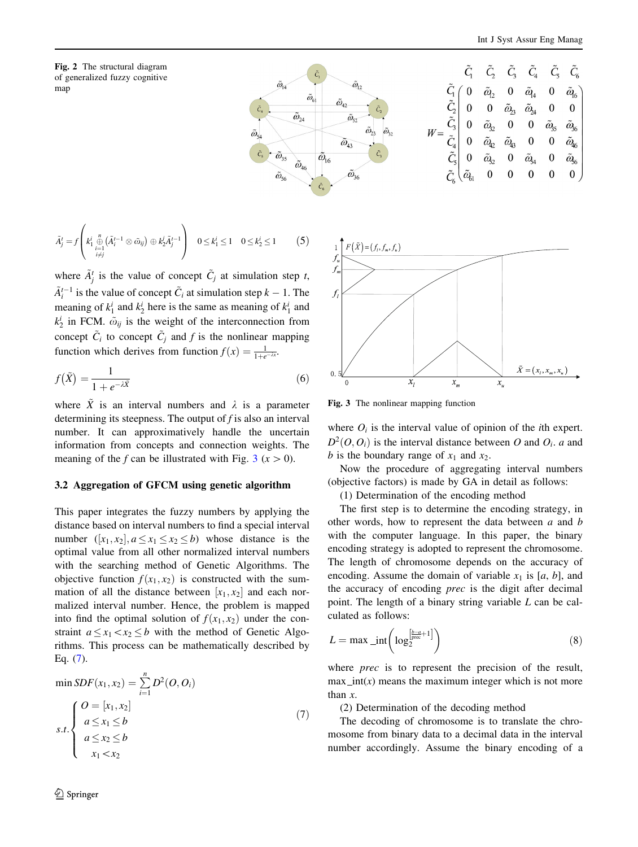<span id="page-3-0"></span>



$$
\tilde{A}'_j = f\left(k_1^i \underset{\substack{i=1 \\ i \neq j}}{\overset{n}{\oplus}} (\tilde{A}'_i^{-1} \otimes \tilde{\omega}_{ij}) \oplus k_2^j \tilde{A}'_j^{-1}\right) \quad 0 \leq k_1^i \leq 1 \quad 0 \leq k_2^i \leq 1 \tag{5}
$$

where  $\tilde{A}_{j}^{t}$  is the value of concept  $\tilde{C}_{j}$  at simulation step t,  $\tilde{A}_{i}^{t-1}$  is the value of concept  $\tilde{C}_{i}$  at simulation step  $k - 1$ . The meaning of  $k_1^i$  and  $k_2^i$  here is the same as meaning of  $k_1^i$  and  $k_2^i$  in FCM.  $\tilde{\omega}_{ij}$  is the weight of the interconnection from concept  $\tilde{C}_i$  to concept  $\tilde{C}_j$  and f is the nonlinear mapping function which derives from function  $f(x) = \frac{1}{1+e^{-\lambda x}}$ .

$$
f(\tilde{X}) = \frac{1}{1 + e^{-\lambda \tilde{X}}} \tag{6}
$$

where  $\tilde{X}$  is an interval numbers and  $\lambda$  is a parameter determining its steepness. The output of  $f$  is also an interval number. It can approximatively handle the uncertain information from concepts and connection weights. The meaning of the f can be illustrated with Fig.  $3 (x > 0)$ .

#### 3.2 Aggregation of GFCM using genetic algorithm

This paper integrates the fuzzy numbers by applying the distance based on interval numbers to find a special interval number  $([x_1, x_2], a \le x_1 \le x_2 \le b)$  whose distance is the optimal value from all other normalized interval numbers with the searching method of Genetic Algorithms. The objective function  $f(x_1, x_2)$  is constructed with the summation of all the distance between  $[x_1, x_2]$  and each normalized interval number. Hence, the problem is mapped into find the optimal solution of  $f(x_1, x_2)$  under the constraint  $a \le x_1 \le x_2 \le b$  with the method of Genetic Algorithms. This process can be mathematically described by Eq. (7).

$$
\min SDF(x_1, x_2) = \sum_{i=1}^{n} D^2(O, O_i)
$$
\n
$$
s.t. \begin{cases} O = [x_1, x_2] \\ a \le x_1 \le b \\ a \le x_2 \le b \\ x_1 < x_2 \end{cases} (7)
$$



Fig. 3 The nonlinear mapping function

where  $O_i$  is the interval value of opinion of the *i*th expert.  $D^2(O, O_i)$  is the interval distance between O and  $O_i$ . a and b is the boundary range of  $x_1$  and  $x_2$ .

Now the procedure of aggregating interval numbers (objective factors) is made by GA in detail as follows:

(1) Determination of the encoding method

The first step is to determine the encoding strategy, in other words, how to represent the data between a and b with the computer language. In this paper, the binary encoding strategy is adopted to represent the chromosome. The length of chromosome depends on the accuracy of encoding. Assume the domain of variable  $x_1$  is [a, b], and the accuracy of encoding prec is the digit after decimal point. The length of a binary string variable L can be calculated as follows:

$$
L = \max \text{int} \left( \log_2^{\left[\frac{b-a}{\text{prec}} + 1\right]} \right) \tag{8}
$$

where *prec* is to represent the precision of the result,  $max\_int(x)$  means the maximum integer which is not more than x.

(2) Determination of the decoding method

The decoding of chromosome is to translate the chromosome from binary data to a decimal data in the interval number accordingly. Assume the binary encoding of a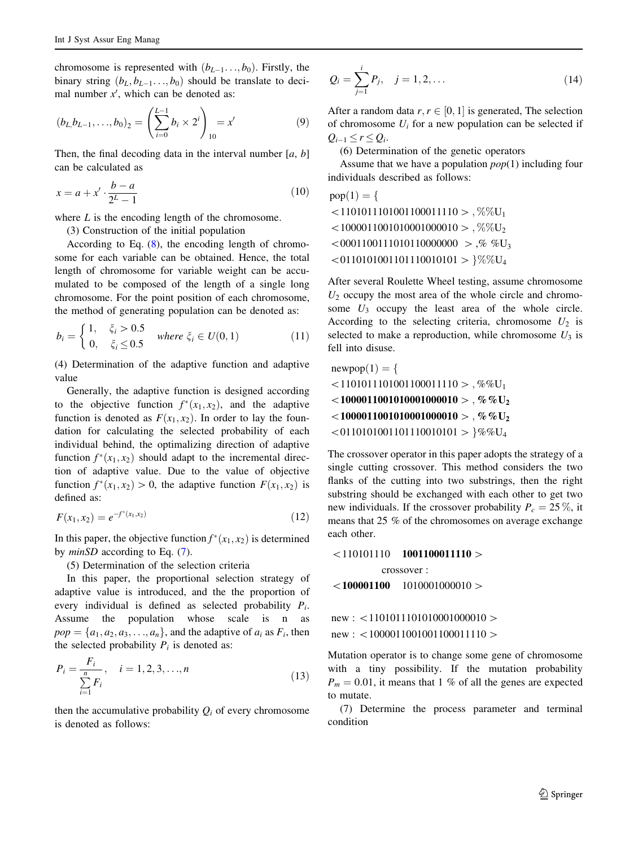chromosome is represented with  $(b_{L-1},..., b_0)$ . Firstly, the binary string  $(b_L, b_{L-1}, \ldots, b_0)$  should be translate to decimal number  $x'$ , which can be denoted as:

$$
(b_{L_i}b_{L-1},\ldots,b_0)_2 = \left(\sum_{i=0}^{L-1} b_i \times 2^i\right)_{10} = x'
$$
 (9)

Then, the final decoding data in the interval number  $[a, b]$ can be calculated as

$$
x = a + x' \cdot \frac{b - a}{2^L - 1} \tag{10}
$$

where  $L$  is the encoding length of the chromosome.

(3) Construction of the initial population

According to Eq.  $(8)$  $(8)$ , the encoding length of chromosome for each variable can be obtained. Hence, the total length of chromosome for variable weight can be accumulated to be composed of the length of a single long chromosome. For the point position of each chromosome, the method of generating population can be denoted as:

$$
b_i = \begin{cases} 1, & \xi_i > 0.5 \\ 0, & \xi_i \le 0.5 \end{cases} \text{ where } \xi_i \in U(0, 1) \tag{11}
$$

(4) Determination of the adaptive function and adaptive value

Generally, the adaptive function is designed according to the objective function  $f^*(x_1, x_2)$ , and the adaptive function is denoted as  $F(x_1, x_2)$ . In order to lay the foundation for calculating the selected probability of each individual behind, the optimalizing direction of adaptive function  $f^*(x_1, x_2)$  should adapt to the incremental direction of adaptive value. Due to the value of objective function  $f^*(x_1, x_2) > 0$ , the adaptive function  $F(x_1, x_2)$  is defined as:

$$
F(x_1, x_2) = e^{-f^*(x_1, x_2)} \tag{12}
$$

In this paper, the objective function  $f^*(x_1, x_2)$  is determined by minSD according to Eq. ([7\)](#page-3-0).

(5) Determination of the selection criteria

In this paper, the proportional selection strategy of adaptive value is introduced, and the the proportion of every individual is defined as selected probability  $P_i$ . Assume the population whose scale is n as  $pop = \{a_1, a_2, a_3, \ldots, a_n\}$ , and the adaptive of  $a_i$  as  $F_i$ , then the selected probability  $P_i$  is denoted as:

$$
P_i = \frac{F_i}{\sum_{i=1}^{n} F_i}, \quad i = 1, 2, 3, ..., n
$$
\n(13)

then the accumulative probability  $Q_i$  of every chromosome is denoted as follows:

$$
Q_i = \sum_{j=1}^i P_j, \quad j = 1, 2, \dots
$$
 (14)

After a random data  $r, r \in [0, 1]$  is generated, The selection of chromosome  $U_i$  for a new population can be selected if  $Q_{i-1} < r < Q_i$ .

(6) Determination of the genetic operators

Assume that we have a population  $pop(1)$  including four individuals described as follows:

 $pop(1) = \{$  $\langle 1101011101001100011110 \rangle$ , %%U<sub>1</sub>  $1000011001010001000010$ , %%U<sub>2</sub>  $0.0001100111010110000000 \rightarrow$ ,% %U<sub>3</sub>  $\langle 0110101001101110010101 \rangle$  }%%U<sub>4</sub>

After several Roulette Wheel testing, assume chromosome  $U_2$  occupy the most area of the whole circle and chromosome  $U_3$  occupy the least area of the whole circle. According to the selecting criteria, chromosome  $U_2$  is selected to make a reproduction, while chromosome  $U_3$  is fell into disuse.

 $newpop(1) = \{$  $\langle 1101011101001100011110 \rangle$ , %%U<sub>1</sub>  $\sim$ 10000110010100010000010 > , %%U<sub>2</sub>  $\sim$ 10000110010100010000010 > , %%U<sub>2</sub>  $\langle 0110101001101110010101 \rangle$  }%%U<sub>4</sub>

The crossover operator in this paper adopts the strategy of a single cutting crossover. This method considers the two flanks of the cutting into two substrings, then the right substring should be exchanged with each other to get two new individuals. If the crossover probability  $P_c = 25\%$ , it means that 25 % of the chromosomes on average exchange each other.

```
\leq110101110 1001100011110 >crossover :
\leq 100001100 1010001000010 >
```
 $new: \langle 1101011101010001000010 \rangle$  $new: \langle 1000011001001100011110 \rangle$ 

Mutation operator is to change some gene of chromosome with a tiny possibility. If the mutation probability  $P_m = 0.01$ , it means that 1 % of all the genes are expected to mutate.

(7) Determine the process parameter and terminal condition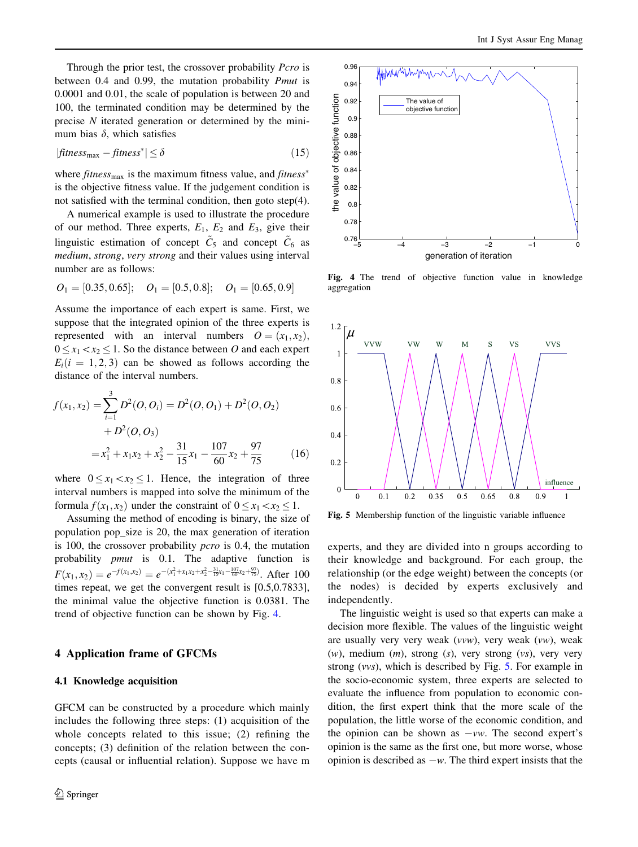Int J Syst Assur Eng Manag

<span id="page-5-0"></span>Through the prior test, the crossover probability *Pcro* is between 0.4 and 0.99, the mutation probability Pmut is 0.0001 and 0.01, the scale of population is between 20 and 100, the terminated condition may be determined by the precise N iterated generation or determined by the minimum bias  $\delta$ , which satisfies

$$
|fitness_{\text{max}} - fitness^*| \le \delta \tag{15}
$$

where  $fitness_{\text{max}}$  is the maximum fitness value, and  $fitness^*$ is the objective fitness value. If the judgement condition is not satisfied with the terminal condition, then goto step(4).

A numerical example is used to illustrate the procedure of our method. Three experts,  $E_1$ ,  $E_2$  and  $E_3$ , give their linguistic estimation of concept  $\tilde{C}_5$  and concept  $\tilde{C}_6$  as medium, strong, very strong and their values using interval number are as follows:

$$
O_1 = [0.35, 0.65];
$$
  $O_1 = [0.5, 0.8];$   $O_1 = [0.65, 0.9]$ 

Assume the importance of each expert is same. First, we suppose that the integrated opinion of the three experts is represented with an interval numbers  $O = (x_1, x_2)$ ,  $0 \le x_1 \le x_2 \le 1$ . So the distance between O and each expert  $E_i(i = 1, 2, 3)$  can be showed as follows according the distance of the interval numbers.

$$
f(x_1, x_2) = \sum_{i=1}^{3} D^2(O, O_i) = D^2(O, O_1) + D^2(O, O_2)
$$
  
+  $D^2(O, O_3)$   
=  $x_1^2 + x_1x_2 + x_2^2 - \frac{31}{15}x_1 - \frac{107}{60}x_2 + \frac{97}{75}$  (16)

where  $0 \le x_1 \le x_2 \le 1$ . Hence, the integration of three interval numbers is mapped into solve the minimum of the formula  $f(x_1, x_2)$  under the constraint of  $0 \le x_1 \le x_2 \le 1$ .

Assuming the method of encoding is binary, the size of population pop\_size is 20, the max generation of iteration is 100, the crossover probability pcro is 0.4, the mutation probability pmut is 0.1. The adaptive function is  $F(x_1, x_2) = e^{-f(x_1, x_2)} = e^{-(x_1^2 + x_1x_2 + x_2^2 - \frac{31}{15}x_1 - \frac{107}{60}x_2 + \frac{97}{75})}$ . After 100 times repeat, we get the convergent result is [0.5,0.7833], the minimal value the objective function is 0.0381. The trend of objective function can be shown by Fig. 4.

#### 4 Application frame of GFCMs

## 4.1 Knowledge acquisition

GFCM can be constructed by a procedure which mainly includes the following three steps: (1) acquisition of the whole concepts related to this issue; (2) refining the concepts; (3) definition of the relation between the concepts (causal or influential relation). Suppose we have m



Fig. 4 The trend of objective function value in knowledge aggregation



Fig. 5 Membership function of the linguistic variable influence

experts, and they are divided into n groups according to their knowledge and background. For each group, the relationship (or the edge weight) between the concepts (or the nodes) is decided by experts exclusively and independently.

The linguistic weight is used so that experts can make a decision more flexible. The values of the linguistic weight are usually very very weak (vvw), very weak (vw), weak  $(w)$ , medium  $(m)$ , strong  $(s)$ , very strong  $(vs)$ , very very strong (vvs), which is described by Fig. 5. For example in the socio-economic system, three experts are selected to evaluate the influence from population to economic condition, the first expert think that the more scale of the population, the little worse of the economic condition, and the opinion can be shown as  $-vw$ . The second expert's opinion is the same as the first one, but more worse, whose opinion is described as  $-w$ . The third expert insists that the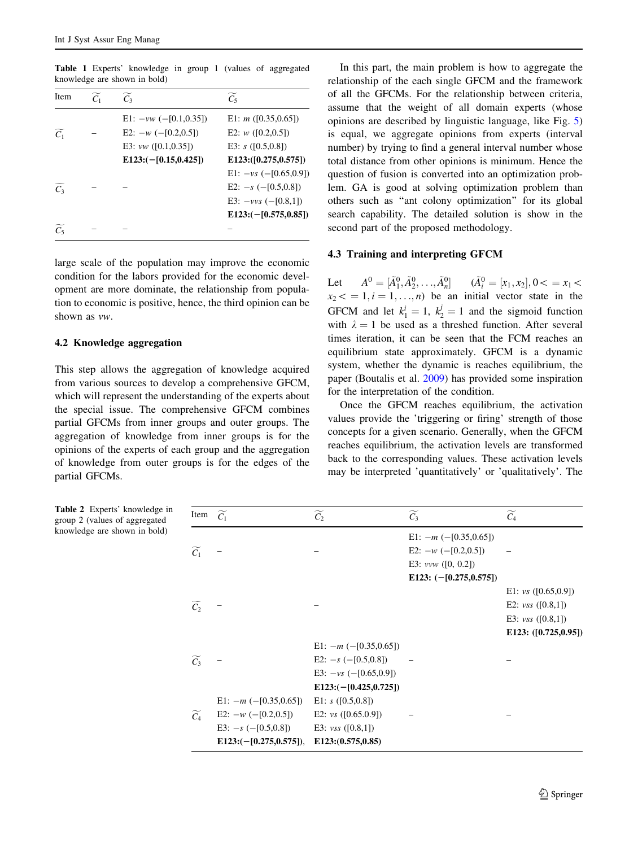| Item              | $\overline{C_1}$ | $\widetilde{C_3}$                                    | $\widetilde{C_5}$                          |
|-------------------|------------------|------------------------------------------------------|--------------------------------------------|
| $\widetilde{C_1}$ |                  | $E1: -vw$ (-[0.1,0.35])<br>E2: $-w$ ( $-[0.2,0.5]$ ) | E1: $m$ ([0.35,0.65])<br>E2: $w(0.2, 0.5)$ |
|                   |                  | E3: $vw$ ([0.1,0.35])                                | E3: $s([0.5, 0.8])$                        |
|                   |                  | $E123:(-[0.15,0.425])$                               | E123:([0.275,0.575])                       |
|                   |                  |                                                      | $E1: -vs$ (-[0.65,0.9])                    |
| $\widetilde{C}_3$ |                  |                                                      | E2: $-s$ ( $-[0.5,0.8]$ )                  |
|                   |                  |                                                      | E3: $-vvs$ (-[0.8,1])                      |
|                   |                  |                                                      | $E123:(-[0.575,0.85])$                     |
| $\widetilde{C_5}$ |                  |                                                      |                                            |
|                   |                  |                                                      |                                            |

<span id="page-6-0"></span>Table 1 Experts' knowledge in group 1 (values of aggregated knowledge are shown in bold)

large scale of the population may improve the economic condition for the labors provided for the economic development are more dominate, the relationship from population to economic is positive, hence, the third opinion can be shown as vw.

#### 4.2 Knowledge aggregation

This step allows the aggregation of knowledge acquired from various sources to develop a comprehensive GFCM, which will represent the understanding of the experts about the special issue. The comprehensive GFCM combines partial GFCMs from inner groups and outer groups. The aggregation of knowledge from inner groups is for the opinions of the experts of each group and the aggregation of knowledge from outer groups is for the edges of the partial GFCMs.

In this part, the main problem is how to aggregate the relationship of the each single GFCM and the framework of all the GFCMs. For the relationship between criteria, assume that the weight of all domain experts (whose opinions are described by linguistic language, like Fig. [5\)](#page-5-0) is equal, we aggregate opinions from experts (interval number) by trying to find a general interval number whose total distance from other opinions is minimum. Hence the question of fusion is converted into an optimization problem. GA is good at solving optimization problem than others such as ''ant colony optimization'' for its global search capability. The detailed solution is show in the second part of the proposed methodology.

#### 4.3 Training and interpreting GFCM

Let  $A^0 = [\tilde{A}_1^0, \tilde{A}_2^0, \dots, \tilde{A}_n^0]$   $(\tilde{A}_i^0 = [x_1, x_2], 0 < x_1 <$  $x_2 \leq 1, i = 1, \ldots, n$  be an initial vector state in the GFCM and let  $k_1^i = 1$ ,  $k_2^j = 1$  and the sigmoid function with  $\lambda = 1$  be used as a threshed function. After several times iteration, it can be seen that the FCM reaches an equilibrium state approximately. GFCM is a dynamic system, whether the dynamic is reaches equilibrium, the paper (Boutalis et al. [2009](#page-9-0)) has provided some inspiration for the interpretation of the condition.

Once the GFCM reaches equilibrium, the activation values provide the 'triggering or firing' strength of those concepts for a given scenario. Generally, when the GFCM reaches equilibrium, the activation levels are transformed back to the corresponding values. These activation levels may be interpreted 'quantitatively' or 'qualitatively'. The

Table 2 Experts' knowledge in group 2 (values of aggregated knowledge are shown in bold)

| Item $\widetilde{C_1}$ |                             | $\widetilde{C_2}$           | $\widetilde{C_3}$           | $\widetilde{C_4}$       |
|------------------------|-----------------------------|-----------------------------|-----------------------------|-------------------------|
|                        |                             |                             | E1: $-m$ ( $-[0.35,0.65]$ ) |                         |
| $\widetilde{C_1}$      |                             |                             | E2: $-w$ (-[0.2,0.5])       |                         |
|                        |                             |                             | E3: $vvw$ ([0, 0.2])        |                         |
|                        |                             |                             | E123: $(-[0.275, 0.575])$   |                         |
|                        |                             |                             |                             | E1: $vs([0.65,0.9])$    |
| $\widetilde{C_2}$      |                             |                             |                             | E2: $vss([0.8,1])$      |
|                        |                             |                             |                             | E3: $vss([0.8,1])$      |
|                        |                             |                             |                             | E123: $([0.725, 0.95])$ |
|                        |                             | E1: $-m$ ( $-[0.35,0.65]$ ) |                             |                         |
| $\widetilde{C_3}$      |                             | E2: $-s$ ( $-[0.5,0.8]$ )   |                             |                         |
|                        |                             | E3: $-vs$ (-[0.65,0.9])     |                             |                         |
|                        |                             | $E123: (-[0.425, 0.725])$   |                             |                         |
|                        | E1: $-m$ ( $-[0.35,0.65]$ ) | E1: $s([0.5, 0.8])$         |                             |                         |
| $\widetilde{C_4}$      | E2: $-w$ ( $-[0.2,0.5]$ )   | E2: $vs$ ([0.65.0.9])       |                             |                         |
|                        | E3: $-s$ (-[0.5,0.8])       | E3: $vss([0.8,1])$          |                             |                         |
|                        | $E123:(-[0.275,0.575]),$    | E123:(0.575,0.85)           |                             |                         |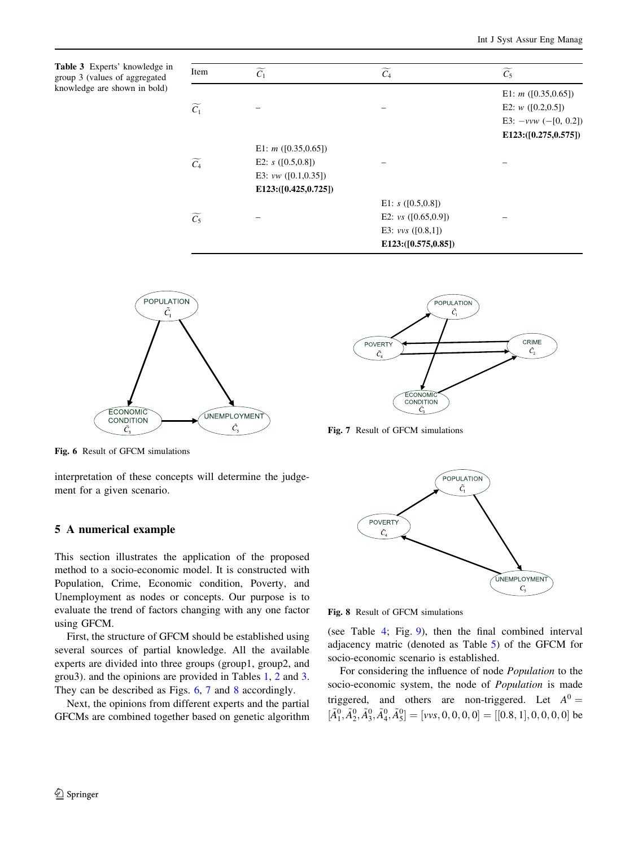<span id="page-7-0"></span>Table 3 Experts' knowledge in group 3 (values of aggregated knowledge are shown in bold)

| Item              | $\widetilde{C_1}$     | $\widetilde{C_4}$     | $\widetilde{C_5}$      |
|-------------------|-----------------------|-----------------------|------------------------|
|                   |                       |                       | E1: $m$ ([0.35,0.65])  |
| $\widetilde{C_1}$ |                       |                       | E2: $w([0.2, 0.5])$    |
|                   |                       |                       | E3: $-vvw$ (-[0, 0.2]) |
|                   |                       |                       | E123:([0.275,0.575])   |
|                   | E1: $m([0.35, 0.65])$ |                       |                        |
| $\widetilde{C_4}$ | E2: $s([0.5, 0.8])$   |                       |                        |
|                   | E3: $vw([0.1, 0.35])$ |                       |                        |
|                   | E123:([0.425,0.725])  |                       |                        |
|                   |                       | E1: $s([0.5, 0.8])$   |                        |
| $\widetilde{C_5}$ |                       | E2: $vs$ ([0.65,0.9]) |                        |
|                   |                       | E3: $vvs$ ([0.8,1])   |                        |
|                   |                       | E123:([0.575,0.85])   |                        |



Fig. 6 Result of GFCM simulations

interpretation of these concepts will determine the judgement for a given scenario.

## 5 A numerical example

This section illustrates the application of the proposed method to a socio-economic model. It is constructed with Population, Crime, Economic condition, Poverty, and Unemployment as nodes or concepts. Our purpose is to evaluate the trend of factors changing with any one factor using GFCM.

First, the structure of GFCM should be established using several sources of partial knowledge. All the available experts are divided into three groups (group1, group2, and grou3). and the opinions are provided in Tables [1](#page-6-0), [2](#page-6-0) and 3. They can be described as Figs. 6, 7 and 8 accordingly.

Next, the opinions from different experts and the partial GFCMs are combined together based on genetic algorithm



Fig. 7 Result of GFCM simulations



Fig. 8 Result of GFCM simulations

(see Table [4](#page-8-0); Fig. [9\)](#page-8-0), then the final combined interval adjacency matric (denoted as Table [5](#page-8-0)) of the GFCM for socio-economic scenario is established.

For considering the influence of node Population to the socio-economic system, the node of Population is made triggered, and others are non-triggered. Let  $A^0 =$  $[\tilde{A}_1^0, \tilde{A}_2^0, \tilde{A}_3^0, \tilde{A}_4^0, \tilde{A}_5^0] = [\nu \nu s, 0, 0, 0, 0] = [[0.8, 1], 0, 0, 0, 0]$  be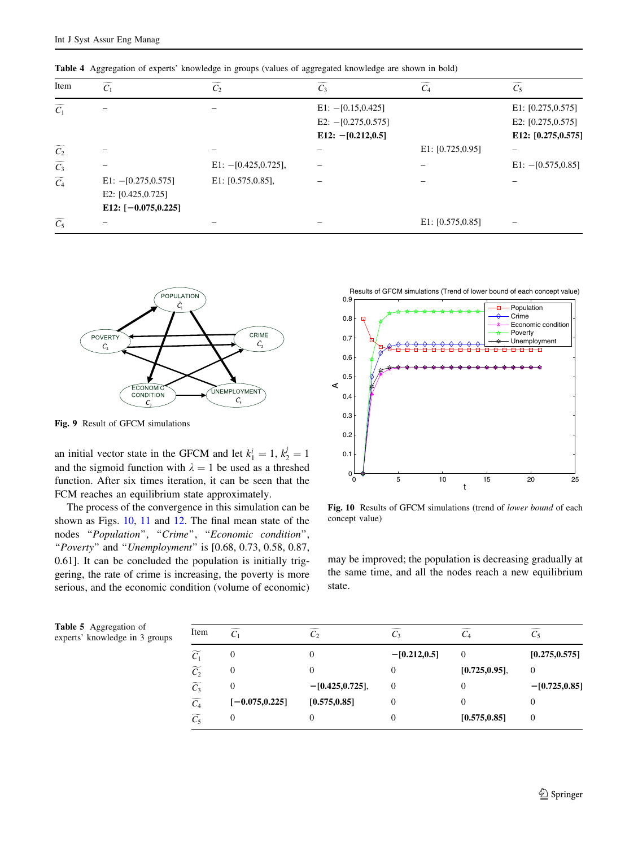| Item              | $\widetilde{C_1}$                                                       | $\widetilde{C_2}$      | $\widetilde{C_3}$     | $\widetilde{C}_4$   | $\widetilde{C_5}$    |
|-------------------|-------------------------------------------------------------------------|------------------------|-----------------------|---------------------|----------------------|
| $\widetilde{C_1}$ |                                                                         |                        | $E1: -[0.15, 0.425]$  |                     | E1: $[0.275, 0.575]$ |
|                   |                                                                         |                        | E2: $-[0.275, 0.575]$ |                     | E2: $[0.275, 0.575]$ |
|                   |                                                                         |                        | E12: $-[0.212, 0.5]$  |                     | E12: [0.275,0.575]   |
| $\widetilde{C_2}$ |                                                                         |                        |                       | E1: $[0.725, 0.95]$ |                      |
| $\widetilde{C_3}$ |                                                                         | $E1: -[0.425, 0.725],$ |                       |                     | $E1: -[0.575, 0.85]$ |
| $\widetilde{C_4}$ | $E1: -[0.275, 0.575]$<br>E2: $[0.425, 0.725]$<br>E12: $[-0.075, 0.225]$ | E1: [0.575, 0.85],     |                       |                     |                      |
| $\widetilde{C_5}$ |                                                                         |                        |                       | E1: $[0.575, 0.85]$ | -                    |

<span id="page-8-0"></span>Table 4 Aggregation of experts' knowledge in groups (values of aggregated knowledge are shown in bold)



Fig. 9 Result of GFCM simulations

an initial vector state in the GFCM and let  $k_1^i = 1$ ,  $k_2^j = 1$ and the sigmoid function with  $\lambda = 1$  be used as a threshed function. After six times iteration, it can be seen that the FCM reaches an equilibrium state approximately.

The process of the convergence in this simulation can be shown as Figs. 10, [11](#page-9-0) and [12](#page-9-0). The final mean state of the nodes "Population", "Crime", "Economic condition", "Poverty" and "Unemployment" is  $[0.68, 0.73, 0.58, 0.87,$ 0.61]. It can be concluded the population is initially triggering, the rate of crime is increasing, the poverty is more serious, and the economic condition (volume of economic)



Fig. 10 Results of GFCM simulations (trend of lower bound of each concept value)

may be improved; the population is decreasing gradually at the same time, and all the nodes reach a new equilibrium state.

| <b>Table 5</b> Aggregation of  | Item |   |
|--------------------------------|------|---|
| experts' knowledge in 3 groups |      | C |

| Item              | $\widetilde{C_1}$ | $\mathcal{C}_{2}$  |                 |               | $\widetilde{C_5}$ |
|-------------------|-------------------|--------------------|-----------------|---------------|-------------------|
| $\widetilde{C_1}$ | 0                 | 0                  | $-[0.212, 0.5]$ | $\theta$      | [0.275, 0.575]    |
| $\widetilde{C_2}$ | 0                 |                    | 0               | [0.725, 0.95] | 0                 |
| $\widetilde{C}_3$ | 0                 | $-[0.425, 0.725],$ | 0               | 0             | $-[0.725, 0.85]$  |
| $\widetilde{C_4}$ | $[-0.075, 0.225]$ | [0.575, 0.85]      | 0               |               |                   |
| $\widetilde{C_5}$ | 0                 |                    | 0               | [0.575, 0.85] | $\theta$          |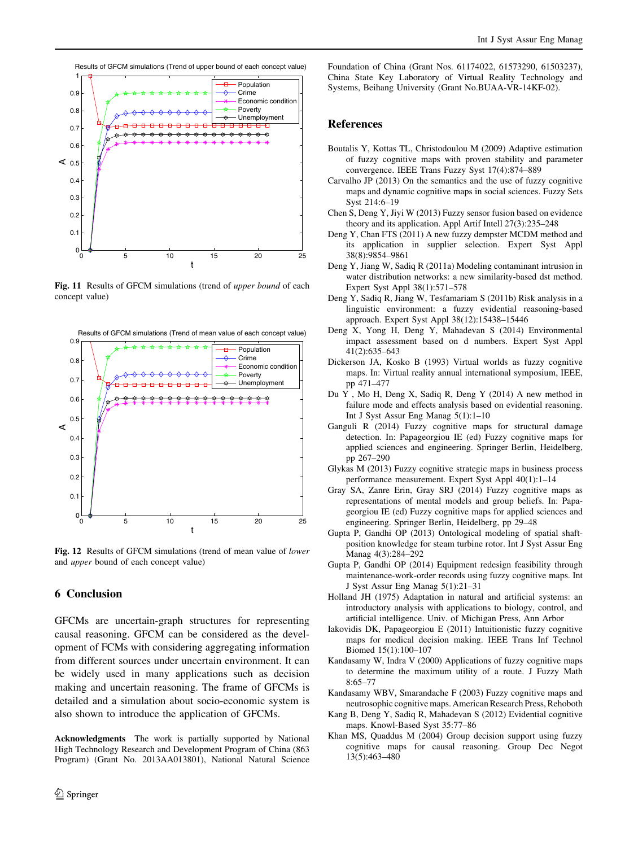<span id="page-9-0"></span>

Fig. 11 Results of GFCM simulations (trend of upper bound of each concept value)



Fig. 12 Results of GFCM simulations (trend of mean value of lower and upper bound of each concept value)

## 6 Conclusion

GFCMs are uncertain-graph structures for representing causal reasoning. GFCM can be considered as the development of FCMs with considering aggregating information from different sources under uncertain environment. It can be widely used in many applications such as decision making and uncertain reasoning. The frame of GFCMs is detailed and a simulation about socio-economic system is also shown to introduce the application of GFCMs.

Acknowledgments The work is partially supported by National High Technology Research and Development Program of China (863 Program) (Grant No. 2013AA013801), National Natural Science Foundation of China (Grant Nos. 61174022, 61573290, 61503237), China State Key Laboratory of Virtual Reality Technology and Systems, Beihang University (Grant No.BUAA-VR-14KF-02).

### References

- Boutalis Y, Kottas TL, Christodoulou M (2009) Adaptive estimation of fuzzy cognitive maps with proven stability and parameter convergence. IEEE Trans Fuzzy Syst 17(4):874–889
- Carvalho JP (2013) On the semantics and the use of fuzzy cognitive maps and dynamic cognitive maps in social sciences. Fuzzy Sets Syst 214:6–19
- Chen S, Deng Y, Jiyi W (2013) Fuzzy sensor fusion based on evidence theory and its application. Appl Artif Intell 27(3):235–248
- Deng Y, Chan FTS (2011) A new fuzzy dempster MCDM method and its application in supplier selection. Expert Syst Appl 38(8):9854–9861
- Deng Y, Jiang W, Sadiq R (2011a) Modeling contaminant intrusion in water distribution networks: a new similarity-based dst method. Expert Syst Appl 38(1):571–578
- Deng Y, Sadiq R, Jiang W, Tesfamariam S (2011b) Risk analysis in a linguistic environment: a fuzzy evidential reasoning-based approach. Expert Syst Appl 38(12):15438–15446
- Deng X, Yong H, Deng Y, Mahadevan S (2014) Environmental impact assessment based on d numbers. Expert Syst Appl 41(2):635–643
- Dickerson JA, Kosko B (1993) Virtual worlds as fuzzy cognitive maps. In: Virtual reality annual international symposium, IEEE, pp 471–477
- Du Y , Mo H, Deng X, Sadiq R, Deng Y (2014) A new method in failure mode and effects analysis based on evidential reasoning. Int J Syst Assur Eng Manag 5(1):1–10
- Ganguli R (2014) Fuzzy cognitive maps for structural damage detection. In: Papageorgiou IE (ed) Fuzzy cognitive maps for applied sciences and engineering. Springer Berlin, Heidelberg, pp 267–290
- Glykas M (2013) Fuzzy cognitive strategic maps in business process performance measurement. Expert Syst Appl 40(1):1–14
- Gray SA, Zanre Erin, Gray SRJ (2014) Fuzzy cognitive maps as representations of mental models and group beliefs. In: Papageorgiou IE (ed) Fuzzy cognitive maps for applied sciences and engineering. Springer Berlin, Heidelberg, pp 29–48
- Gupta P, Gandhi OP (2013) Ontological modeling of spatial shaftposition knowledge for steam turbine rotor. Int J Syst Assur Eng Manag 4(3):284–292
- Gupta P, Gandhi OP (2014) Equipment redesign feasibility through maintenance-work-order records using fuzzy cognitive maps. Int J Syst Assur Eng Manag 5(1):21–31
- Holland JH (1975) Adaptation in natural and artificial systems: an introductory analysis with applications to biology, control, and artificial intelligence. Univ. of Michigan Press, Ann Arbor
- Iakovidis DK, Papageorgiou E (2011) Intuitionistic fuzzy cognitive maps for medical decision making. IEEE Trans Inf Technol Biomed 15(1):100–107
- Kandasamy W, Indra V (2000) Applications of fuzzy cognitive maps to determine the maximum utility of a route. J Fuzzy Math 8:65–77
- Kandasamy WBV, Smarandache F (2003) Fuzzy cognitive maps and neutrosophic cognitive maps. American Research Press, Rehoboth
- Kang B, Deng Y, Sadiq R, Mahadevan S (2012) Evidential cognitive maps. Knowl-Based Syst 35:77–86
- Khan MS, Quaddus M (2004) Group decision support using fuzzy cognitive maps for causal reasoning. Group Dec Negot 13(5):463–480